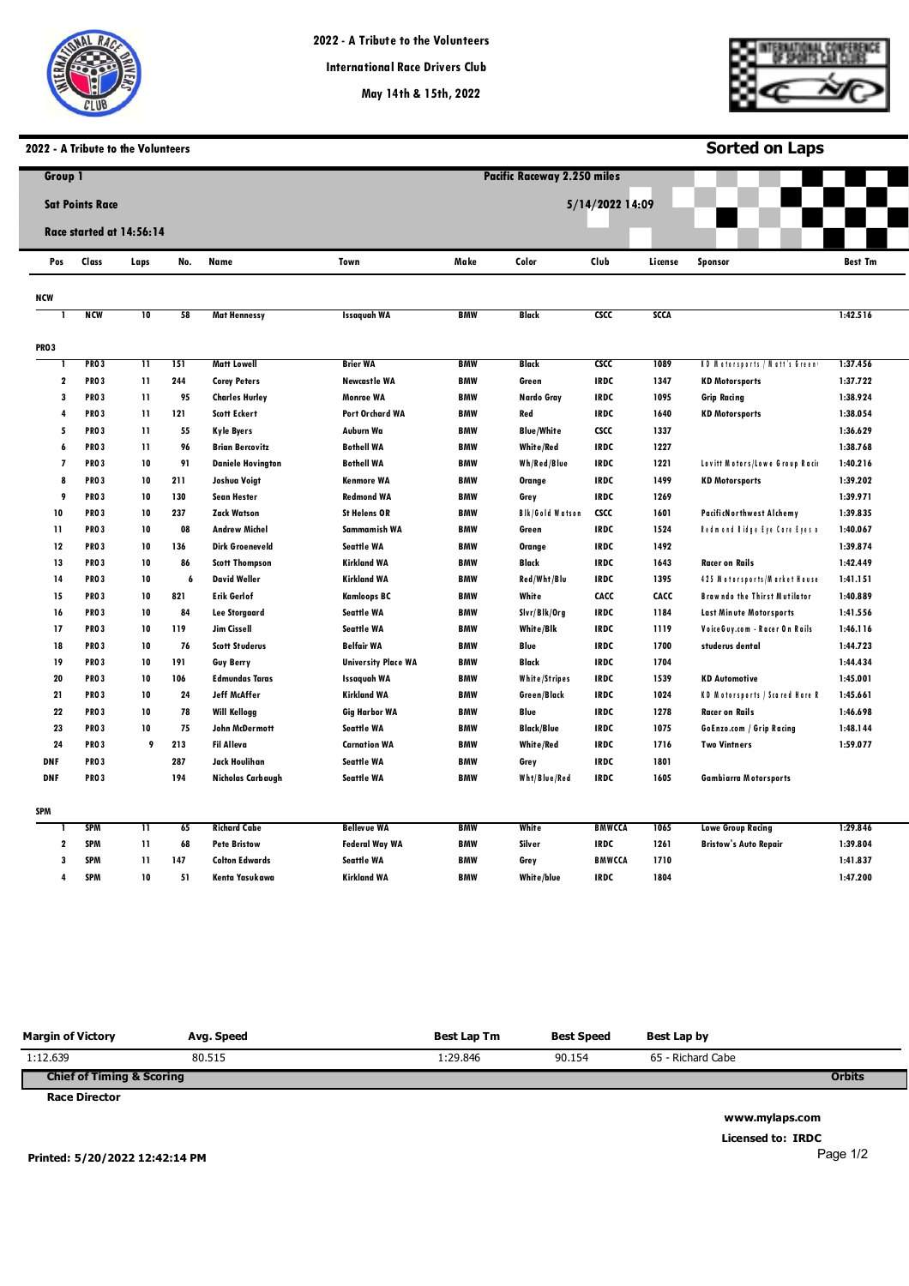

**May 14th & 15th, 2022**

**Pacific Raceways**



**Sorted on Laps**

# **2022 - A Tribute to the Volunteers**

| <b>Group 1</b>           |                          |                         |     |                          |                            |            | <b>Pacific Raceway 2.250 miles</b> |               |             |                                       |                |  |  |
|--------------------------|--------------------------|-------------------------|-----|--------------------------|----------------------------|------------|------------------------------------|---------------|-------------|---------------------------------------|----------------|--|--|
|                          | <b>Sat Points Race</b>   |                         |     |                          |                            |            | 5/14/2022 14:09                    |               |             |                                       |                |  |  |
|                          |                          |                         |     |                          |                            |            |                                    |               |             |                                       |                |  |  |
|                          | Race started at 14:56:14 |                         |     |                          |                            |            |                                    |               |             |                                       |                |  |  |
| Pos                      | Class                    | Laps                    | No. | Name                     | Town                       | Make       | Color                              | Club          | License     | <b>Sponsor</b>                        | <b>Best Tm</b> |  |  |
| NCW                      |                          |                         |     |                          |                            |            |                                    |               |             |                                       |                |  |  |
|                          | <b>NCM</b>               | $\overline{10}$         | 58  | <b>Mat Hennessy</b>      | <b>Issaguah WA</b>         | <b>BMW</b> | Black                              | <b>CSCC</b>   | <b>SCCA</b> |                                       | 1:42.516       |  |  |
| <b>PRO3</b>              |                          |                         |     |                          |                            |            |                                    |               |             |                                       |                |  |  |
| п                        | <b>PRO3</b>              | $\overline{\mathbf{1}}$ | 151 | <b>Matt Lowell</b>       | <b>Brier WA</b>            | <b>BMW</b> | <b>Black</b>                       | <b>CSCC</b>   | 1089        | KD Motorsports / Matt's Green         | 1:37.456       |  |  |
| $\mathbf 2$              | <b>PRO3</b>              | 11                      | 244 | <b>Corey Peters</b>      | <b>Newcastle WA</b>        | <b>BMW</b> | Green                              | <b>IRDC</b>   | 1347        | <b>KD Motorsports</b>                 | 1:37.722       |  |  |
| $\overline{\mathbf{3}}$  | <b>PRO3</b>              | $\mathbf{11}$           | 95  | <b>Charles Hurley</b>    | <b>Monroe WA</b>           | <b>BMW</b> | Nardo Gray                         | <b>IRDC</b>   | 1095        | <b>Grip Racing</b>                    | 1:38.924       |  |  |
| 4                        | <b>PRO3</b>              | 11                      | 121 | <b>Scott Eckert</b>      | Port Orchard WA            | <b>BMW</b> | Red                                | <b>IRDC</b>   | 1640        | <b>KD Motorsports</b>                 | 1:38.054       |  |  |
| 5                        | <b>PRO3</b>              | 11                      | 55  | <b>Kyle Byers</b>        | Auburn Wa                  | <b>BMW</b> | <b>Blue/White</b>                  | <b>CSCC</b>   | 1337        |                                       | 1:36.629       |  |  |
| 6                        | <b>PRO3</b>              | $\mathbf{11}$           | 96  | <b>Brian Bercovitz</b>   | <b>Bothell WA</b>          | <b>BMW</b> | <b>White/Red</b>                   | <b>IRDC</b>   | 1227        |                                       | 1:38.768       |  |  |
| $\overline{\phantom{a}}$ | <b>PRO3</b>              | 10                      | 91  | <b>Daniele Hovington</b> | <b>Bothell WA</b>          | <b>BMW</b> | Wh/Red/Blue                        | <b>IRDC</b>   | 1221        | Lovitt Motors/Lowe Group Raci         | 1:40.216       |  |  |
| 8                        | <b>PRO3</b>              | 10                      | 211 | Joshua Voigt             | <b>Kenmore WA</b>          | <b>BMW</b> | Orange                             | <b>IRDC</b>   | 1499        | <b>KD Motorsports</b>                 | 1:39.202       |  |  |
| 9                        | <b>PRO3</b>              | 10                      | 130 | <b>Sean Hester</b>       | <b>Redmond WA</b>          | <b>BMW</b> | Grey                               | <b>IRDC</b>   | 1269        |                                       | 1:39.971       |  |  |
| 10                       | <b>PRO3</b>              | 10                      | 237 | <b>Zack Watson</b>       | <b>St Helens OR</b>        | <b>BMW</b> | <b>Bik/Gold Watson</b>             | <b>CSCC</b>   | 1601        | <b>PacificNorthwest Alchemy</b>       | 1:39.835       |  |  |
| 11                       | <b>PRO3</b>              | 10                      | 08  | <b>Andrew Michel</b>     | Sammamish WA               | <b>BMW</b> | Green                              | <b>IRDC</b>   | 1524        | Redmond Ridge Eye Care Eyes o         | 1:40.067       |  |  |
| 12                       | <b>PRO3</b>              | 10                      | 136 | <b>Dirk Groeneveld</b>   | <b>Seattle WA</b>          | <b>BMW</b> | Orange                             | <b>IRDC</b>   | 1492        |                                       | 1:39.874       |  |  |
| 13                       | <b>PRO3</b>              | 10                      | 86  | <b>Scott Thompson</b>    | <b>Kirkland WA</b>         | <b>BMW</b> | Black                              | <b>IRDC</b>   | 1643        | <b>Racer on Rails</b>                 | 1:42.449       |  |  |
| 14                       | <b>PRO3</b>              | 10                      | 6   | <b>David Weller</b>      | <b>Kirkland WA</b>         | <b>BMW</b> | Red/Wht/Blu                        | <b>IRDC</b>   | 1395        | 425 Motorsports/Market House          | 1:41.151       |  |  |
| 15                       | <b>PRO3</b>              | 10                      | 821 | <b>Erik Gerlof</b>       | <b>Kamloops BC</b>         | <b>BMW</b> | White                              | CACC          | CACC        | <b>Brawndo the Thirst Mutilator</b>   | 1:40.889       |  |  |
| 16                       | <b>PRO3</b>              | 10                      | 84  | <b>Lee Storgaard</b>     | <b>Seattle WA</b>          | <b>BMW</b> | Slvr/Blk/Org                       | <b>IRDC</b>   | 1184        | Last Minute Motorsports               | 1:41.556       |  |  |
| 17                       | <b>PRO3</b>              | 10                      | 119 | Jim Cissell              | <b>Seattle WA</b>          | <b>BMW</b> | White/Blk                          | <b>IRDC</b>   | 1119        | Voice Guy.com - Racer On Rails        | 1:46.116       |  |  |
| 18                       | <b>PRO3</b>              | 10                      | 76  | <b>Scott Studerus</b>    | <b>Belfair WA</b>          | <b>BMW</b> | Blue                               | <b>IRDC</b>   | 1700        | studerus dental                       | 1:44.723       |  |  |
| 19                       | <b>PRO3</b>              | 10                      | 191 | <b>Guy Berry</b>         | <b>University Place WA</b> | <b>BMW</b> | Black                              | <b>IRDC</b>   | 1704        |                                       | 1:44.434       |  |  |
| 20                       | <b>PRO3</b>              | 10                      | 106 | <b>Edmundas Taras</b>    | Issagvah WA                | <b>BMW</b> | White/Stripes                      | <b>IRDC</b>   | 1539        | <b>KD Automotive</b>                  | 1:45.001       |  |  |
| 21                       | <b>PRO3</b>              | 10                      | 24  | <b>Jeff McAffer</b>      | <b>Kirkland WA</b>         | <b>BMW</b> | Green/Black                        | <b>IRDC</b>   | 1024        | <b>KD Motorsports / Scared Hare F</b> | 1:45.661       |  |  |
| 22                       | <b>PRO3</b>              | 10                      | 78  | <b>Will Kellogg</b>      | <b>Gig Harbor WA</b>       | <b>BMW</b> | Blue                               | <b>IRDC</b>   | 1278        | <b>Racer on Rails</b>                 | 1:46.698       |  |  |
| 23                       | <b>PRO3</b>              | 10                      | 75  | John McDermott           | <b>Seattle WA</b>          | <b>BMW</b> | <b>Black/Blue</b>                  | <b>IRDC</b>   | 1075        | GoEnzo.com / Grip Racing              | 1:48.144       |  |  |
| 24                       | <b>PRO3</b>              | 9                       | 213 | <b>Fil Alleva</b>        | <b>Carnation WA</b>        | <b>BMW</b> | White/Red                          | <b>IRDC</b>   | 1716        | <b>Two Vintners</b>                   | 1:59.077       |  |  |
| <b>DNF</b>               | <b>PRO3</b>              |                         | 287 | Jack Houlihan            | <b>Seattle WA</b>          | <b>BMW</b> | Grey                               | <b>IRDC</b>   | 1801        |                                       |                |  |  |
| <b>DNF</b>               | <b>PRO3</b>              |                         | 194 | Nicholas Carbaugh        | <b>Seattle WA</b>          | <b>BMW</b> | Wht/Blue/Red                       | <b>IRDC</b>   | 1605        | <b>Gambiarra Motorsports</b>          |                |  |  |
| SPM                      |                          |                         |     |                          |                            |            |                                    |               |             |                                       |                |  |  |
|                          | <b>SPM</b>               | π                       | 65  | <b>Richard Cabe</b>      | <b>Bellevue WA</b>         | BMW        | White                              | <b>BMWCCA</b> | 1065        | <b>Lowe Group Racing</b>              | 1:29.846       |  |  |
| $\mathbf{2}$             | <b>SPM</b>               | 11                      | 68  | <b>Pete Bristow</b>      | <b>Federal Way WA</b>      | <b>BMW</b> | Silver                             | <b>IRDC</b>   | 1261        | <b>Bristow's Auto Repair</b>          | 1:39.804       |  |  |
| 3                        | <b>SPM</b>               | 11                      | 147 | <b>Colton Edwards</b>    | <b>Seattle WA</b>          | <b>BMW</b> | Grey                               | <b>BMWCCA</b> | 1710        |                                       | 1:41.837       |  |  |
| 4                        | <b>SPM</b>               | 10                      | 51  | Kenta Yasukawa           | <b>Kirkland WA</b>         | <b>BMW</b> | White/blue                         | <b>IRDC</b>   | 1804        |                                       | 1:47.200       |  |  |

| <b>Margin of Victory</b>             | Avg. Speed | Best Lap Tm | <b>Best Speed</b> | Best Lap by       |               |
|--------------------------------------|------------|-------------|-------------------|-------------------|---------------|
| 1:12.639                             | 80.515     | 1:29.846    | 90.154            | 65 - Richard Cabe |               |
| <b>Chief of Timing &amp; Scoring</b> |            |             |                   |                   | <b>Orbits</b> |
| <b>Race Director</b>                 |            |             |                   |                   |               |

**www.mylaps.com Licensed to: IRDC** 

**Printed: 5/20/2022 12:42:14 PM** 

Page 1/2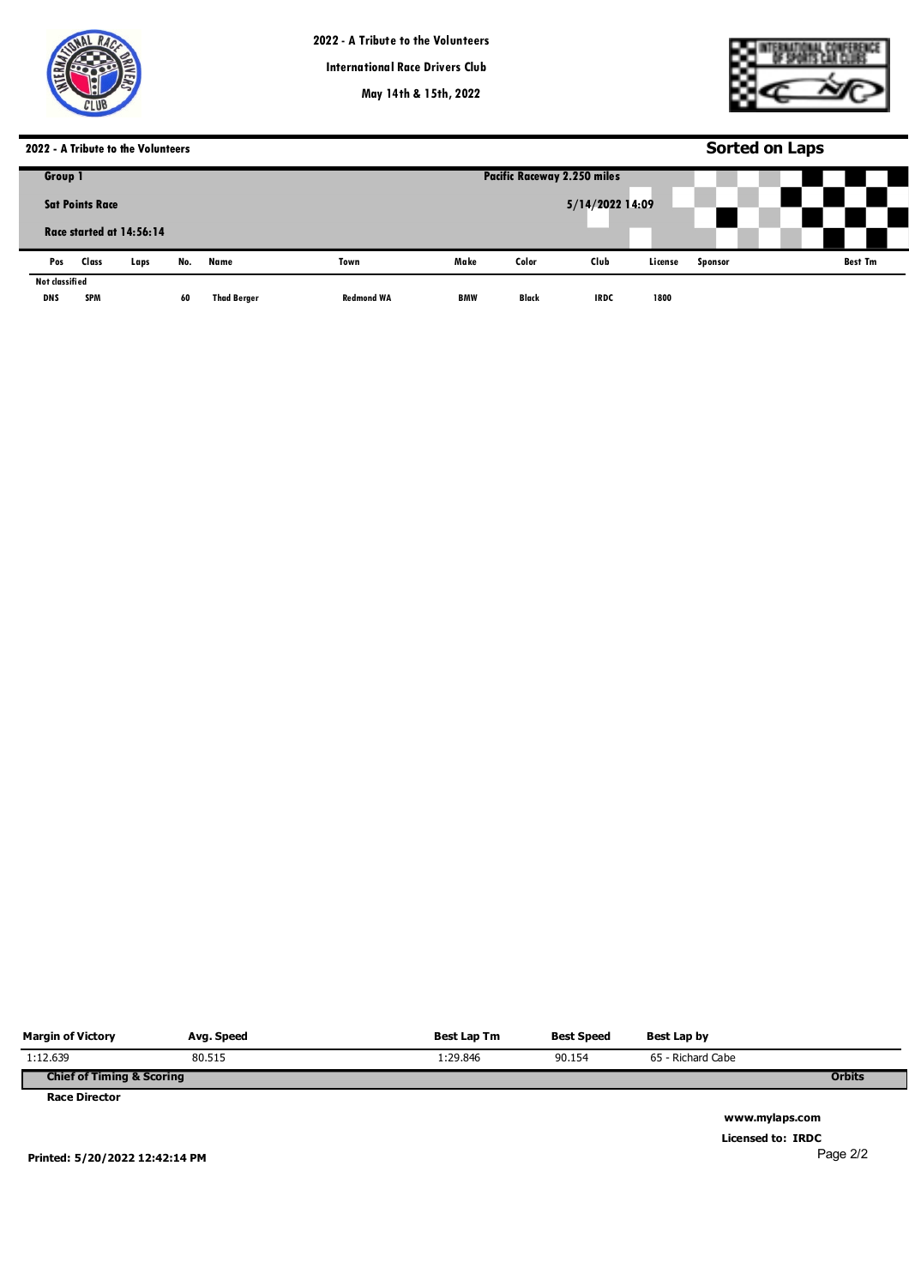



# **2022 - A Tribute to the Volunteers**

|                        |            | 2022 - A Tribute to the Volunteers |     |                    |                   | <b>Sorted on Laps</b>              |              |             |         |                |  |                |  |
|------------------------|------------|------------------------------------|-----|--------------------|-------------------|------------------------------------|--------------|-------------|---------|----------------|--|----------------|--|
| Group 1                |            |                                    |     |                    |                   | <b>Pacific Raceway 2.250 miles</b> |              |             |         |                |  |                |  |
| <b>Sat Points Race</b> |            |                                    |     |                    |                   | 5/14/2022 14:09                    |              |             |         |                |  |                |  |
|                        |            | Race started at 14:56:14           |     |                    |                   |                                    |              |             |         |                |  |                |  |
| Pos                    | Class      | Laps                               | No. | Name               | Town              | Make                               | Color        | Club        | License | <b>Sponsor</b> |  | <b>Best Tm</b> |  |
| Not classified         |            |                                    |     |                    |                   |                                    |              |             |         |                |  |                |  |
| <b>DNS</b>             | <b>SPM</b> |                                    | 60  | <b>Thad Berger</b> | <b>Redmond WA</b> | <b>BMW</b>                         | <b>Black</b> | <b>IRDC</b> | 1800    |                |  |                |  |

| <b>Margin of Victory</b>             | Avg. Speed | Best Lap Tm | <b>Best Speed</b> | Best Lap by       |               |
|--------------------------------------|------------|-------------|-------------------|-------------------|---------------|
| 1:12.639                             | 80.515     | 1:29.846    | 90.154            | 65 - Richard Cabe |               |
| <b>Chief of Timing &amp; Scoring</b> |            |             |                   |                   | <b>Orbits</b> |
| <b>Race Director</b>                 |            |             |                   |                   |               |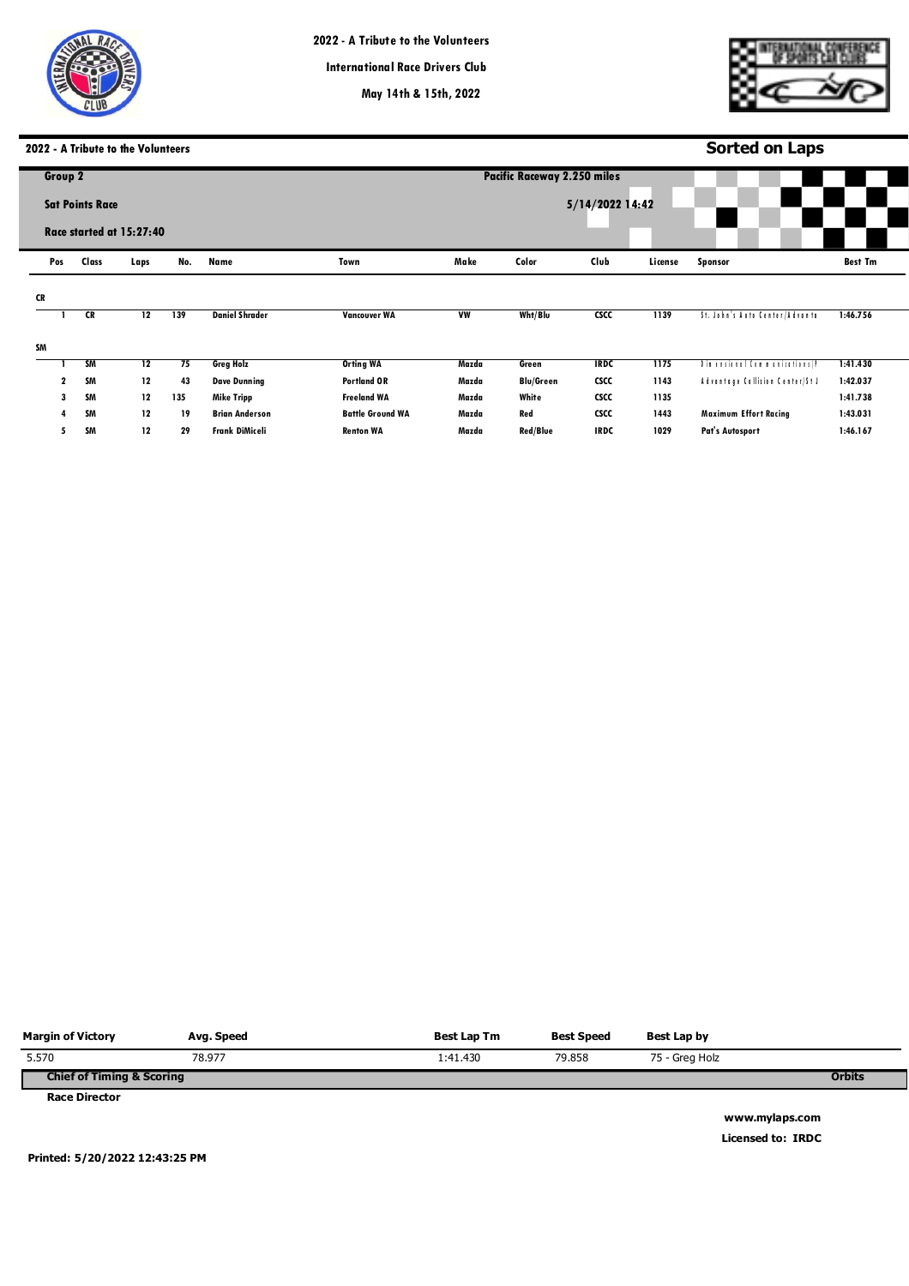

**May 14th & 15th, 2022**

**Pacific Raceways**



# **2022 - A Tribute to the Volunteers**

|    | 2022 - A Tribute to the Volunteers |       |                          |     |                       |                         |           |                                    | <b>Sorted on Laps</b> |         |                                 |                |  |  |
|----|------------------------------------|-------|--------------------------|-----|-----------------------|-------------------------|-----------|------------------------------------|-----------------------|---------|---------------------------------|----------------|--|--|
|    | Group 2                            |       |                          |     |                       |                         |           | <b>Pacific Raceway 2.250 miles</b> |                       |         |                                 |                |  |  |
|    | <b>Sat Points Race</b>             |       |                          |     |                       |                         |           |                                    | 5/14/2022 14:42       |         |                                 |                |  |  |
|    |                                    |       | Race started at 15:27:40 |     |                       |                         |           |                                    |                       |         |                                 |                |  |  |
|    | Pos                                | Class | Laps                     | No. | Name                  | Town                    | Make      | Color                              | Club                  | License | <b>Sponsor</b>                  | <b>Best Tm</b> |  |  |
| CR |                                    |       |                          |     |                       |                         |           |                                    |                       |         |                                 |                |  |  |
|    |                                    | CR    | 12                       | 139 | <b>Daniel Shrader</b> | <b>Vancouver WA</b>     | <b>VW</b> | Wht/Blu                            | csc                   | 1139    | St. John's Auto Center/Advanta  | 1:46.756       |  |  |
| SM |                                    |       |                          |     |                       |                         |           |                                    |                       |         |                                 |                |  |  |
|    |                                    | SM    | 12                       | 75  | <b>Greg Holz</b>      | <b>Orting WA</b>        | Mazda     | Green                              | <b>IRDC</b>           | 1175    | Din ensimal Communications (P   | 1:41.430       |  |  |
|    | 2                                  | SM    | 12                       | 43  | <b>Dave Dunning</b>   | <b>Portland OR</b>      | Mazda     | <b>Blu/Green</b>                   | <b>CSCC</b>           | 1143    | Advantage Collision Center/St J | 1:42.037       |  |  |
|    | 3                                  | SM    | 12                       | 135 | <b>Mike Tripp</b>     | <b>Freeland WA</b>      | Mazda     | White                              | <b>CSCC</b>           | 1135    |                                 | 1:41.738       |  |  |
|    |                                    | SM    | 12                       | 19  | <b>Brian Anderson</b> | <b>Battle Ground WA</b> | Mazda     | Red                                | <b>CSCC</b>           | 1443    | <b>Maximum Effort Racing</b>    | 1:43.031       |  |  |
|    | 5                                  | SM    | 12                       | 29  | <b>Frank DiMiceli</b> | <b>Renton WA</b>        | Mazda     | <b>Red/Blue</b>                    | <b>IRDC</b>           | 1029    | <b>Pat's Autosport</b>          | 1:46.167       |  |  |
|    |                                    |       |                          |     |                       |                         |           |                                    |                       |         |                                 |                |  |  |

| <b>Margin of Victory</b>             | Avg. Speed | Best Lap Tm | <b>Best Speed</b> | Best Lap by    |               |
|--------------------------------------|------------|-------------|-------------------|----------------|---------------|
| 5.570                                | 78.977     | 1:41.430    | 79.858            | 75 - Greg Holz |               |
| <b>Chief of Timing &amp; Scoring</b> |            |             |                   |                | <b>Orbits</b> |
| <b>Race Director</b>                 |            |             |                   |                |               |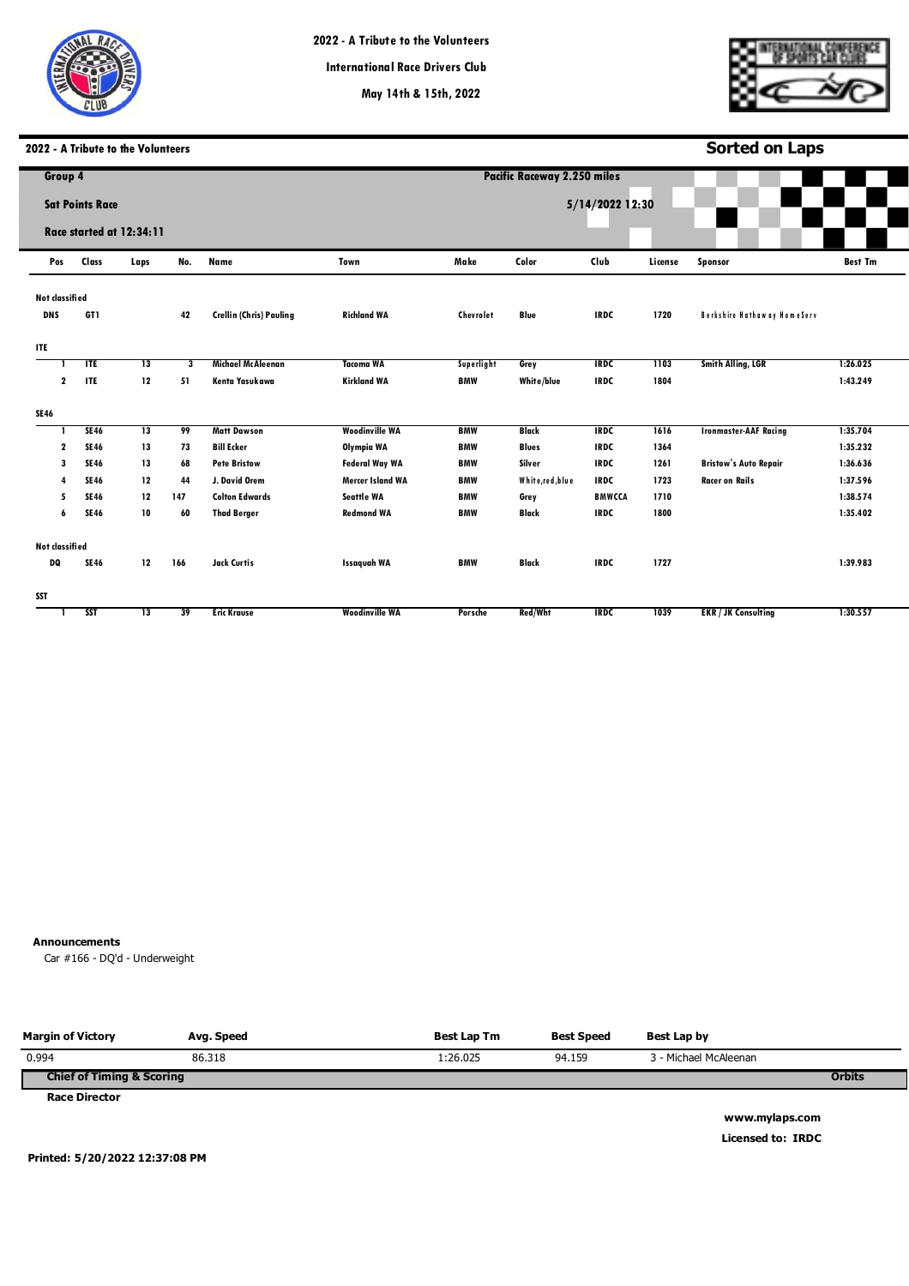



**Sorted on Laps**

# **2022 - A Tribute to the Volunteers**

| Group 4                      |                        |                          |     |                                |                         |            | <b>Pacific Raceway 2.250 miles</b> |                 |                                                                                                                                                                                                     |                              |          |  |  |  |  |
|------------------------------|------------------------|--------------------------|-----|--------------------------------|-------------------------|------------|------------------------------------|-----------------|-----------------------------------------------------------------------------------------------------------------------------------------------------------------------------------------------------|------------------------------|----------|--|--|--|--|
|                              | <b>Sat Points Race</b> |                          |     |                                |                         |            |                                    | 5/14/2022 12:30 | <b>Best Tm</b><br>License<br>Sponsor<br>1720<br><b>Berkshire Hathaway HomeServ</b><br>Smith Alling, LGR<br>1103<br>1:26.025<br>1804<br>1:43.249<br>1616<br><b>Ironmaster-AAF Racing</b><br>1:35.704 |                              |          |  |  |  |  |
|                              |                        |                          |     |                                |                         |            |                                    |                 |                                                                                                                                                                                                     |                              |          |  |  |  |  |
|                              |                        | Race started at 12:34:11 |     |                                |                         |            |                                    |                 |                                                                                                                                                                                                     |                              |          |  |  |  |  |
| Pos                          | Class                  | Laps                     | No. | <b>Name</b>                    | Town                    | Make       | Color                              | Club            |                                                                                                                                                                                                     |                              |          |  |  |  |  |
|                              |                        |                          |     |                                |                         |            |                                    |                 |                                                                                                                                                                                                     |                              |          |  |  |  |  |
| Not classified<br><b>DNS</b> | GT1                    |                          | 42  | <b>Crellin (Chris) Pauling</b> | <b>Richland WA</b>      | Chevrolet  | <b>Blue</b>                        | <b>IRDC</b>     |                                                                                                                                                                                                     |                              |          |  |  |  |  |
|                              |                        |                          |     |                                |                         |            |                                    |                 |                                                                                                                                                                                                     |                              |          |  |  |  |  |
| <b>ITE</b>                   |                        |                          |     |                                |                         |            |                                    |                 |                                                                                                                                                                                                     |                              |          |  |  |  |  |
|                              | TTE                    | 13                       | 3   | Michael McAleenan              | <b>Tacoma WA</b>        | Superlight | Grey                               | <b>IRDC</b>     |                                                                                                                                                                                                     |                              |          |  |  |  |  |
| $\mathbf{2}$                 | ITE                    | 12                       | 51  | Kenta Yasukawa                 | <b>Kirkland WA</b>      | <b>BMW</b> | White/blue                         | <b>IRDC</b>     |                                                                                                                                                                                                     |                              |          |  |  |  |  |
| <b>SE46</b>                  |                        |                          |     |                                |                         |            |                                    |                 |                                                                                                                                                                                                     |                              |          |  |  |  |  |
|                              | <b>SE46</b>            | $\overline{13}$          | 99  | <b>Matt Dawson</b>             | <b>Woodinville WA</b>   | <b>BMW</b> | <b>Black</b>                       | <b>IRDC</b>     |                                                                                                                                                                                                     |                              |          |  |  |  |  |
| $\mathbf 2$                  | <b>SE46</b>            | 13                       | 73  | <b>Bill Ecker</b>              | Olympia WA              | <b>BMW</b> | <b>Blues</b>                       | <b>IRDC</b>     | 1364                                                                                                                                                                                                |                              | 1:35.232 |  |  |  |  |
| 3                            | <b>SE46</b>            | 13                       | 68  | <b>Pete Bristow</b>            | <b>Federal Way WA</b>   | <b>BMW</b> | Silver                             | <b>IRDC</b>     | 1261                                                                                                                                                                                                | <b>Bristow's Auto Repair</b> | 1:36.636 |  |  |  |  |
| 4                            | <b>SE46</b>            | 12                       | 44  | J. David Orem                  | <b>Mercer Island WA</b> | <b>BMW</b> | White, red, blue                   | <b>IRDC</b>     | 1723                                                                                                                                                                                                | <b>Racer on Rails</b>        | 1:37.596 |  |  |  |  |
| 5                            | <b>SE46</b>            | 12                       | 147 | <b>Colton Edwards</b>          | <b>Seattle WA</b>       | <b>BMW</b> | Grey                               | <b>BMWCCA</b>   | 1710                                                                                                                                                                                                |                              | 1:38.574 |  |  |  |  |
| 6                            | <b>SE46</b>            | 10                       | 60  | <b>Thad Berger</b>             | <b>Redmond WA</b>       | <b>BMW</b> | <b>Black</b>                       | <b>IRDC</b>     | 1800                                                                                                                                                                                                |                              | 1:35.402 |  |  |  |  |
| Not classified               |                        |                          |     |                                |                         |            |                                    |                 |                                                                                                                                                                                                     |                              |          |  |  |  |  |
| DQ                           | <b>SE46</b>            | 12                       | 166 | <b>Jack Curtis</b>             | <b>Issaguah WA</b>      | <b>BMW</b> | <b>Black</b>                       | <b>IRDC</b>     | 1727                                                                                                                                                                                                |                              | 1:39.983 |  |  |  |  |
| SST                          |                        |                          |     |                                |                         |            |                                    |                 |                                                                                                                                                                                                     |                              |          |  |  |  |  |
|                              | <b>SST</b>             | 13                       | 39  | <b>Eric Krause</b>             | <b>Woodinville WA</b>   | Porsche    | Red/Wht                            | <b>IRDC</b>     | 1039                                                                                                                                                                                                | <b>EKR / JK Consulting</b>   | 1:30.557 |  |  |  |  |
|                              |                        |                          |     |                                |                         |            |                                    |                 |                                                                                                                                                                                                     |                              |          |  |  |  |  |

## **Announcements**

**0** Car #166 - DQ'd - Underweight

| <b>Margin of Victory</b>             | Avg. Speed | Best Lap Tm | <b>Best Speed</b> | Best Lap by           |               |
|--------------------------------------|------------|-------------|-------------------|-----------------------|---------------|
| 0.994                                | 86.318     | 1:26.025    | 94.159            | 3 - Michael McAleenan |               |
| <b>Chief of Timing &amp; Scoring</b> |            |             |                   |                       | <b>Orbits</b> |
| <b>Race Director</b>                 |            |             |                   |                       |               |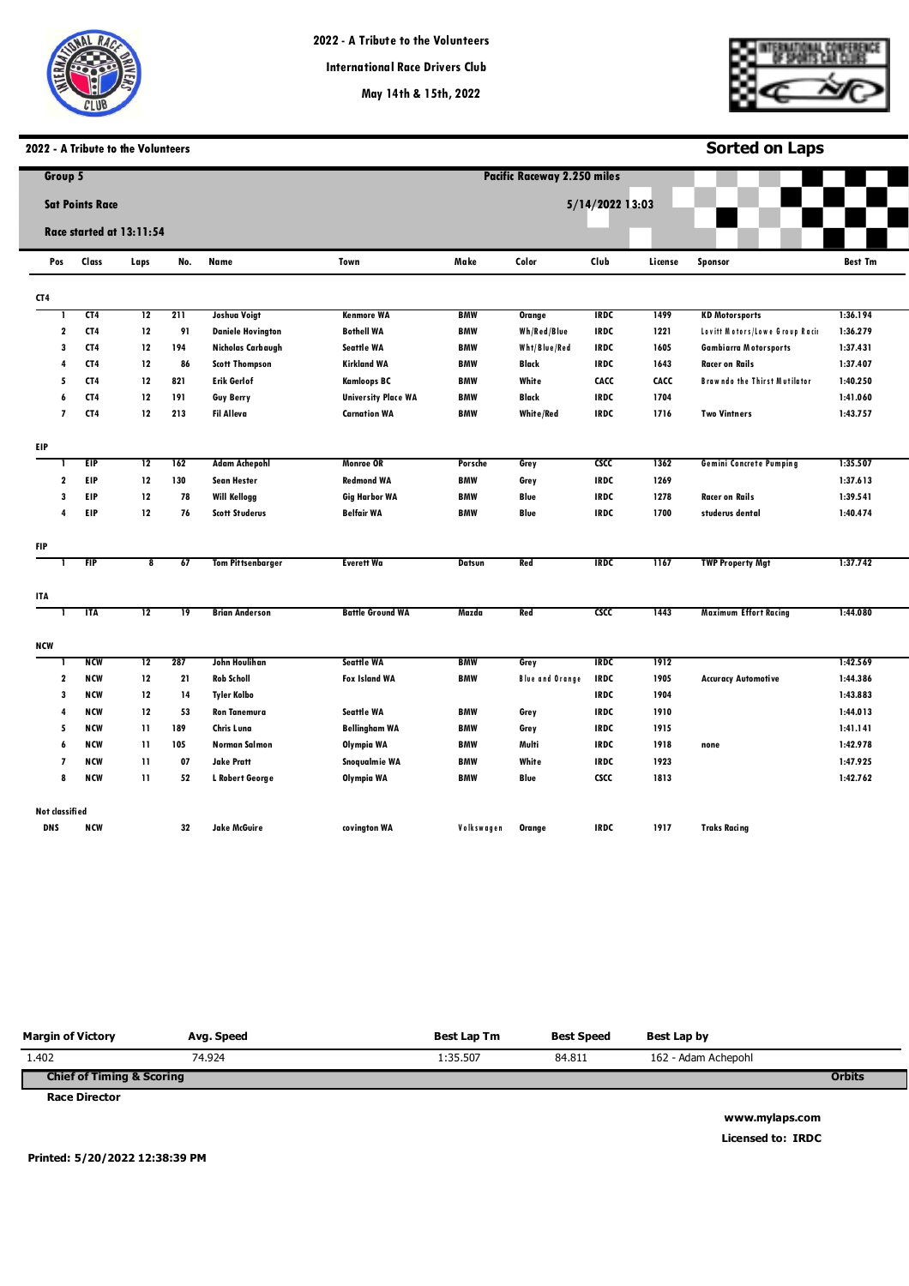



**Sorted on Laps**

# **2022 - A Tribute to the Volunteers**

| Group 5                  |                        |                          |                 |                          |                            |               | <b>Pacific Raceway 2.250 miles</b> |                 |         |                                     |                |
|--------------------------|------------------------|--------------------------|-----------------|--------------------------|----------------------------|---------------|------------------------------------|-----------------|---------|-------------------------------------|----------------|
|                          | <b>Sat Points Race</b> |                          |                 |                          |                            |               |                                    | 5/14/2022 13:03 |         |                                     |                |
|                          |                        |                          |                 |                          |                            |               |                                    |                 |         |                                     |                |
|                          |                        | Race started at 13:11:54 |                 |                          |                            |               |                                    |                 |         |                                     |                |
| Pos                      | Class                  | Laps                     | No.             | Name                     | Town                       | Make          | Color                              | Club            | License | <b>Sponsor</b>                      | <b>Best Tm</b> |
| CT4                      |                        |                          |                 |                          |                            |               |                                    |                 |         |                                     |                |
|                          | CT <sub>4</sub>        | 12                       | 211             | Joshua Voigt             | <b>Kenmore WA</b>          | <b>BMW</b>    | <b>Orange</b>                      | <b>IRDC</b>     | 1499    | <b>KD Motorsports</b>               | 1:36.194       |
| 2                        | CT4                    | 12                       | 91              | <b>Daniele Hovington</b> | <b>Bothell WA</b>          | <b>BMW</b>    | Wh/Red/Blue                        | <b>IRDC</b>     | 1221    | Lovitt Motors/Lowe Group Raci       | 1:36.279       |
| 3                        | CT4                    | 12                       | 194             | <b>Nicholas Carbaugh</b> | <b>Seattle WA</b>          | <b>BMW</b>    | Wht/Blue/Red                       | <b>IRDC</b>     | 1605    | <b>Gambiarra Motorsports</b>        | 1:37.431       |
| 4                        | CT4                    | 12                       | 86              | <b>Scott Thompson</b>    | <b>Kirkland WA</b>         | <b>BMW</b>    | Black                              | <b>IRDC</b>     | 1643    | <b>Racer on Rails</b>               | 1:37.407       |
| 5                        | CT4                    | 12                       | 821             | Erik Gerlof              | <b>Kamloops BC</b>         | <b>BMW</b>    | White                              | CACC            | CACC    | <b>Brawndo the Thirst Mutilator</b> | 1:40.250       |
| 6                        | CT4                    | 12                       | 191             | <b>Guy Berry</b>         | <b>University Place WA</b> | <b>BMW</b>    | <b>Black</b>                       | <b>IRDC</b>     | 1704    |                                     | 1:41.060       |
| $\overline{\phantom{a}}$ | CT4                    | 12                       | 213             | <b>Fil Alleva</b>        | <b>Carnation WA</b>        | <b>BMW</b>    | <b>White/Red</b>                   | <b>IRDC</b>     | 1716    | <b>Two Vintners</b>                 | 1:43.757       |
| EIP.                     |                        |                          |                 |                          |                            |               |                                    |                 |         |                                     |                |
|                          | <b>EIP</b>             | $\overline{12}$          | 162             | <b>Adam Achepohl</b>     | <b>Monroe OR</b>           | Porsche       | Grey                               | <b>CSCC</b>     | 1362    | <b>Gemini Concrete Pumping</b>      | 1:35.507       |
| $\mathbf{2}$             | EIP                    | 12                       | 130             | <b>Sean Hester</b>       | <b>Redmond WA</b>          | <b>BMW</b>    | Grey                               | <b>IRDC</b>     | 1269    |                                     | 1:37.613       |
| 3                        | EIP                    | 12                       | 78              | <b>Will Kellogg</b>      | <b>Gig Harbor WA</b>       | <b>BMW</b>    | Blue                               | <b>IRDC</b>     | 1278    | <b>Racer on Rails</b>               | 1:39.541       |
| 4                        | EIP                    | 12                       | 76              | <b>Scott Studerus</b>    | <b>Belfair WA</b>          | <b>BMW</b>    | Blue                               | <b>IRDC</b>     | 1700    | studerus dental                     | 1:40.474       |
| <b>FIP</b>               |                        |                          |                 |                          |                            |               |                                    |                 |         |                                     |                |
|                          | <b>FIP</b>             | $\overline{\mathbf{8}}$  | 67              | <b>Tom Pittsenbarger</b> | <b>Everett Wa</b>          | <b>Datsun</b> | Red                                | <b>IRDC</b>     | 1167    | <b>TWP Property Mgt</b>             | 1:37.742       |
| ITA                      |                        |                          |                 |                          |                            |               |                                    |                 |         |                                     |                |
|                          | <b>ITA</b>             | $\overline{12}$          | $\overline{19}$ | <b>Brian Anderson</b>    | <b>Battle Ground WA</b>    | Mazda         | Red                                | csc             | 1443    | <b>Maximum Effort Racing</b>        | 1:44.080       |
| <b>NCW</b>               |                        |                          |                 |                          |                            |               |                                    |                 |         |                                     |                |
|                          | <b>NCW</b>             | 12                       | 287             | John Houlihan            | <b>Seattle WA</b>          | BMW           | Grey                               | <b>IRDC</b>     | 1912    |                                     | 1:42.569       |
| $\mathbf 2$              | <b>NCW</b>             | 12                       | 21              | <b>Rob Scholl</b>        | <b>Fox Island WA</b>       | <b>BMW</b>    | <b>Blue and Orange</b>             | <b>IRDC</b>     | 1905    | <b>Accuracy Automotive</b>          | 1:44.386       |
| 3                        | <b>NCW</b>             | 12                       | 14              | Tyler Kolbo              |                            |               |                                    | <b>IRDC</b>     | 1904    |                                     | 1:43.883       |
| 4                        | <b>NCW</b>             | 12                       | 53              | <b>Ron Tanemura</b>      | Seattle WA                 | <b>BMW</b>    | Grey                               | <b>IRDC</b>     | 1910    |                                     | 1:44.013       |
| 5                        | <b>NCW</b>             | 11                       | 189             | Chris Luna               | <b>Bellingham WA</b>       | <b>BMW</b>    | Grey                               | <b>IRDC</b>     | 1915    |                                     | 1:41.141       |
| 6                        | <b>NCW</b>             | 11                       | 105             | <b>Norman Salmon</b>     | Olympia WA                 | <b>BMW</b>    | Multi                              | <b>IRDC</b>     | 1918    | none                                | 1:42.978       |
| $\overline{\phantom{a}}$ | <b>NCW</b>             | 11                       | 07              | <b>Jake Pratt</b>        | Snoqualmie WA              | <b>BMW</b>    | White                              | <b>IRDC</b>     | 1923    |                                     | 1:47.925       |
| 8                        | <b>NCW</b>             | 11                       | 52              | L Robert George          | Olympia WA                 | <b>BMW</b>    | Blue                               | <b>CSCC</b>     | 1813    |                                     | 1:42.762       |
| Not classified           |                        |                          |                 |                          |                            |               |                                    |                 |         |                                     |                |
| <b>DNS</b>               | <b>NCW</b>             |                          | 32              | <b>Jake McGuire</b>      | covington WA               | Volkswagen    | Orange                             | <b>IRDC</b>     | 1917    | <b>Traks Racing</b>                 |                |

| <b>Margin of Victory</b>             | Avg. Speed | <b>Best Lap Tm</b> | <b>Best Speed</b> | Best Lap by         |               |
|--------------------------------------|------------|--------------------|-------------------|---------------------|---------------|
| 1.402                                | 74.924     | 1:35.507           | 84.811            | 162 - Adam Achepohl |               |
| <b>Chief of Timing &amp; Scoring</b> |            |                    |                   |                     | <b>Orbits</b> |
| <b>Race Director</b>                 |            |                    |                   |                     |               |

**www.mylaps.com Licensed to: IRDC** 

**Printed: 5/20/2022 12:38:39 PM**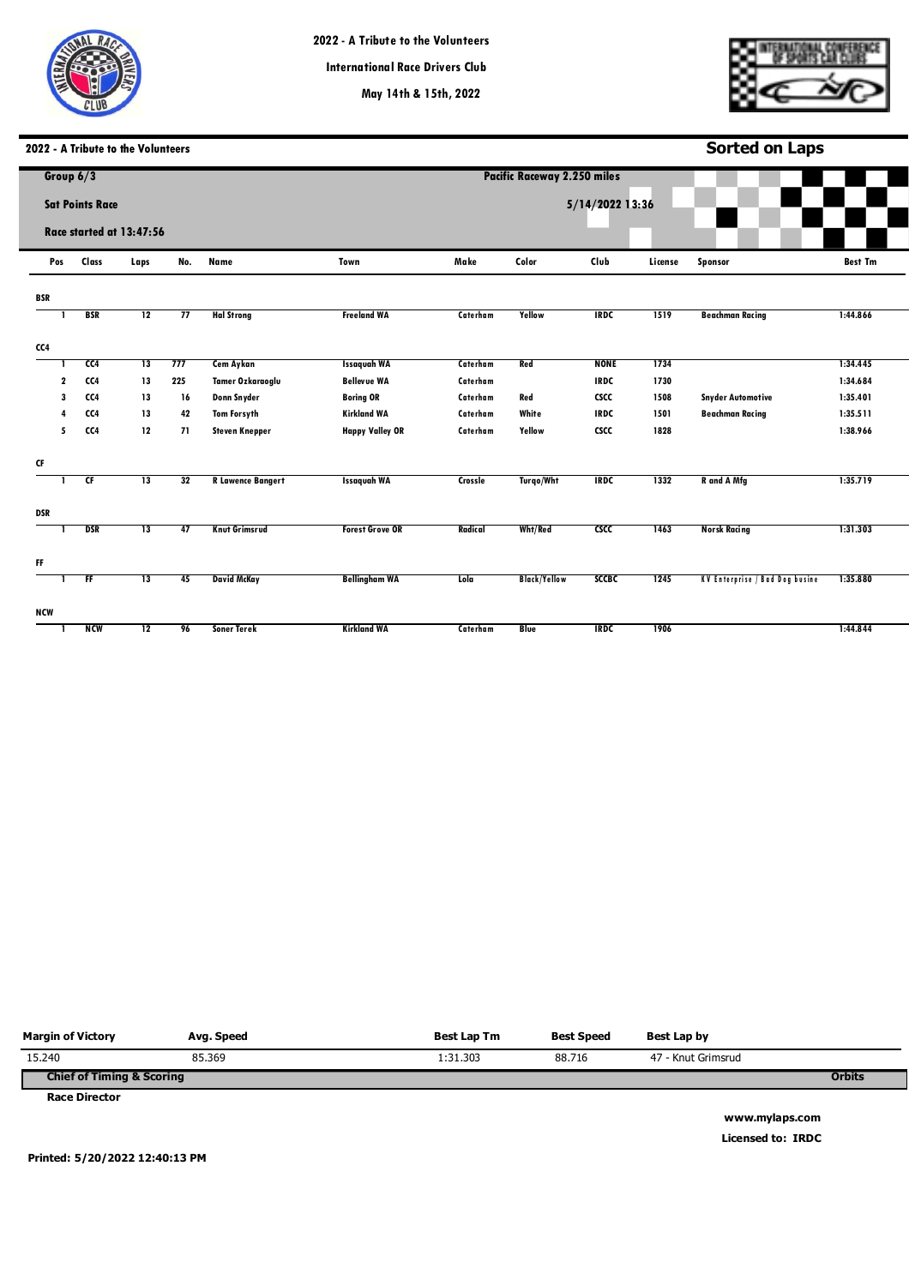

**May 14th & 15th, 2022**

**Pacific Raceways**

**Sorted on Laps**

# **2022 - A Tribute to the Volunteers**

|              | Group $6/3$              |                 |     |                          |                        |          | <b>Pacific Raceway 2.250 miles</b> |                 |         |                                |                |
|--------------|--------------------------|-----------------|-----|--------------------------|------------------------|----------|------------------------------------|-----------------|---------|--------------------------------|----------------|
|              | <b>Sat Points Race</b>   |                 |     |                          |                        |          |                                    | 5/14/2022 13:36 |         |                                |                |
|              | Race started at 13:47:56 |                 |     |                          |                        |          |                                    |                 |         |                                |                |
| Pos          | Class                    | Laps            | No. | Name                     | Town                   | Make     | Color                              | Club            | License | <b>Sponsor</b>                 | <b>Best Tm</b> |
| <b>BSR</b>   |                          |                 |     |                          |                        |          |                                    |                 |         |                                |                |
|              | <b>BSR</b>               | $\overline{12}$ | 77  | <b>Hal Strong</b>        | <b>Freeland WA</b>     | Caterham | Yellow                             | <b>IRDC</b>     | 1519    | <b>Beachman Racing</b>         | 1:44.866       |
| CC4          |                          |                 |     |                          |                        |          |                                    |                 |         |                                |                |
|              | CC4                      | 13              | 777 | <b>Cem Aykan</b>         | <b>Issaquah WA</b>     | Caterham | Red                                | <b>NONE</b>     | 1734    |                                | 1:34.445       |
| $\mathbf{2}$ | CC4                      | 13              | 225 | Tamer Ozkaraoglu         | <b>Bellevue WA</b>     | Caterham |                                    | <b>IRDC</b>     | 1730    |                                | 1:34.684       |
| 3            | CC4                      | 13              | 16  | Donn Snyder              | <b>Boring OR</b>       | Caterham | Red                                | <b>CSCC</b>     | 1508    | <b>Snyder Automotive</b>       | 1:35.401       |
| 4            | CC4                      | 13              | 42  | <b>Tom Forsyth</b>       | <b>Kirkland WA</b>     | Caterham | White                              | <b>IRDC</b>     | 1501    | <b>Beachman Racing</b>         | 1:35.511       |
| 5            | CC4                      | 12              | 71  | <b>Steven Knepper</b>    | <b>Happy Valley OR</b> | Caterham | Yellow                             | <b>CSCC</b>     | 1828    |                                | 1:38.966       |
| CF           |                          |                 |     |                          |                        |          |                                    |                 |         |                                |                |
|              | Œ                        | $\overline{13}$ | 32  | <b>R</b> Lawence Bangert | <b>Issaguah WA</b>     | Crossle  | <b>Turgo/Wht</b>                   | <b>IRDC</b>     | 1332    | R and A Mfg                    | 1:35.719       |
| <b>DSR</b>   |                          |                 |     |                          |                        |          |                                    |                 |         |                                |                |
|              | <b>DSR</b>               | 13              | 47  | <b>Knut Grimsrud</b>     | <b>Forest Grove OR</b> | Radical  | Wht/Red                            | csc             | 1463    | <b>Norsk Racing</b>            | 1:31.303       |
| FF           |                          |                 |     |                          |                        |          |                                    |                 |         |                                |                |
| -1           | FF                       | $\overline{13}$ | 45  | <b>David McKay</b>       | <b>Bellingham WA</b>   | Lola     | <b>Black/Yellow</b>                | <b>SCCBC</b>    | 1245    | KV Enterprise / Bad Dog busine | 1:35.880       |
| NCW          |                          |                 |     |                          |                        |          |                                    |                 |         |                                |                |
|              | <b>NCM</b>               | $\overline{12}$ | 96  | <b>Soner Terek</b>       | <b>Kirkland WA</b>     | Caterham | <b>Blue</b>                        | <b>IRDC</b>     | 1906    |                                | 1:44.844       |

| <b>Margin of Victory</b>             | Avg. Speed | Best Lap Tm | <b>Best Speed</b> | Best Lap by        |               |
|--------------------------------------|------------|-------------|-------------------|--------------------|---------------|
| 15.240                               | 85.369     | 1:31.303    | 88.716            | 47 - Knut Grimsrud |               |
| <b>Chief of Timing &amp; Scoring</b> |            |             |                   |                    | <b>Orbits</b> |
| <b>Race Director</b>                 |            |             |                   |                    |               |

**Printed: 5/20/2022 12:40:13 PM**